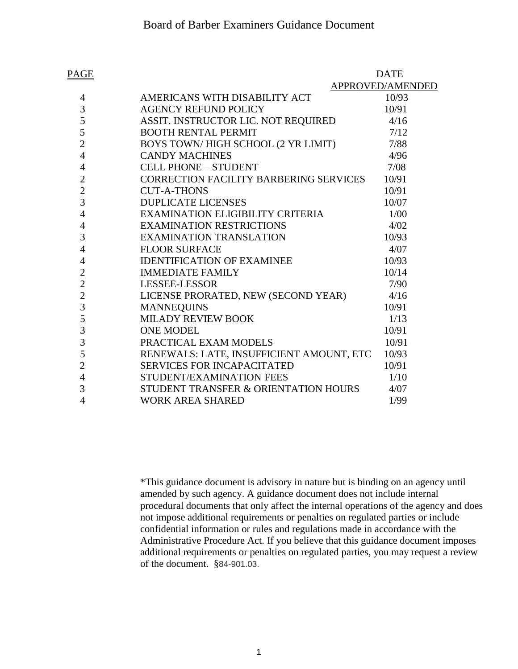| <b>PAGE</b>    |                                               | <b>DATE</b>      |
|----------------|-----------------------------------------------|------------------|
|                |                                               | APPROVED/AMENDED |
| $\overline{4}$ | AMERICANS WITH DISABILITY ACT                 | 10/93            |
| 3              | <b>AGENCY REFUND POLICY</b>                   | 10/91            |
| 5              | ASSIT. INSTRUCTOR LIC. NOT REQUIRED           | 4/16             |
| 5              | <b>BOOTH RENTAL PERMIT</b>                    | 7/12             |
| $\overline{2}$ | BOYS TOWN/HIGH SCHOOL (2 YR LIMIT)            | 7/88             |
| $\overline{4}$ | <b>CANDY MACHINES</b>                         | 4/96             |
| 4              | <b>CELL PHONE - STUDENT</b>                   | 7/08             |
| $\overline{c}$ | <b>CORRECTION FACILITY BARBERING SERVICES</b> | 10/91            |
| $\overline{c}$ | <b>CUT-A-THONS</b>                            | 10/91            |
| 3              | <b>DUPLICATE LICENSES</b>                     | 10/07            |
| $\overline{4}$ | EXAMINATION ELIGIBILITY CRITERIA              | 1/00             |
| 4              | <b>EXAMINATION RESTRICTIONS</b>               | 4/02             |
| 3              | <b>EXAMINATION TRANSLATION</b>                | 10/93            |
| $\overline{4}$ | <b>FLOOR SURFACE</b>                          | 4/07             |
| 4              | <b>IDENTIFICATION OF EXAMINEE</b>             | 10/93            |
| $\overline{2}$ | <b>IMMEDIATE FAMILY</b>                       | 10/14            |
| $\overline{2}$ | LESSEE-LESSOR                                 | 7/90             |
| $\overline{2}$ | LICENSE PRORATED, NEW (SECOND YEAR)           | 4/16             |
| 3              | <b>MANNEQUINS</b>                             | 10/91            |
| 5              | MILADY REVIEW BOOK                            | 1/13             |
| 3              | <b>ONE MODEL</b>                              | 10/91            |
| 3              | PRACTICAL EXAM MODELS                         | 10/91            |
| 5              | RENEWALS: LATE, INSUFFICIENT AMOUNT, ETC      | 10/93            |
| $\overline{2}$ | <b>SERVICES FOR INCAPACITATED</b>             | 10/91            |
| $\overline{4}$ | STUDENT/EXAMINATION FEES                      | 1/10             |
| 3              | STUDENT TRANSFER & ORIENTATION HOURS          | 4/07             |
| 4              | <b>WORK AREA SHARED</b>                       | 1/99             |

\*This guidance document is advisory in nature but is binding on an agency until amended by such agency. A guidance document does not include internal procedural documents that only affect the internal operations of the agency and does not impose additional requirements or penalties on regulated parties or include confidential information or rules and regulations made in accordance with the Administrative Procedure Act. If you believe that this guidance document imposes additional requirements or penalties on regulated parties, you may request a review of the document. §84-901.03.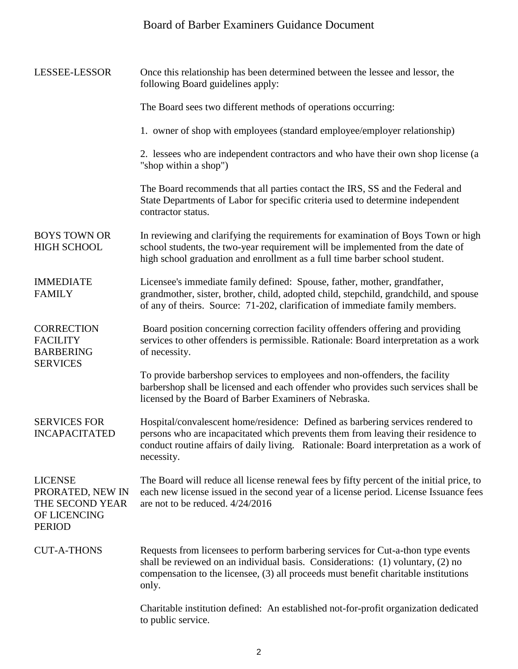## Board of Barber Examiners Guidance Document

| <b>LESSEE-LESSOR</b>                                                                   | Once this relationship has been determined between the lessee and lessor, the<br>following Board guidelines apply:                                                                                                                                                          |
|----------------------------------------------------------------------------------------|-----------------------------------------------------------------------------------------------------------------------------------------------------------------------------------------------------------------------------------------------------------------------------|
|                                                                                        | The Board sees two different methods of operations occurring:                                                                                                                                                                                                               |
|                                                                                        | 1. owner of shop with employees (standard employee/employer relationship)                                                                                                                                                                                                   |
|                                                                                        | 2. lessees who are independent contractors and who have their own shop license (a<br>"shop within a shop")                                                                                                                                                                  |
|                                                                                        | The Board recommends that all parties contact the IRS, SS and the Federal and<br>State Departments of Labor for specific criteria used to determine independent<br>contractor status.                                                                                       |
| <b>BOYS TOWN OR</b><br><b>HIGH SCHOOL</b>                                              | In reviewing and clarifying the requirements for examination of Boys Town or high<br>school students, the two-year requirement will be implemented from the date of<br>high school graduation and enrollment as a full time barber school student.                          |
| <b>IMMEDIATE</b><br><b>FAMILY</b>                                                      | Licensee's immediate family defined: Spouse, father, mother, grandfather,<br>grandmother, sister, brother, child, adopted child, stepchild, grandchild, and spouse<br>of any of theirs. Source: 71-202, clarification of immediate family members.                          |
| <b>CORRECTION</b><br><b>FACILITY</b><br><b>BARBERING</b><br><b>SERVICES</b>            | Board position concerning correction facility offenders offering and providing<br>services to other offenders is permissible. Rationale: Board interpretation as a work<br>of necessity.                                                                                    |
|                                                                                        | To provide barbershop services to employees and non-offenders, the facility<br>barbershop shall be licensed and each offender who provides such services shall be<br>licensed by the Board of Barber Examiners of Nebraska.                                                 |
| <b>SERVICES FOR</b><br><b>INCAPACITATED</b>                                            | Hospital/convalescent home/residence: Defined as barbering services rendered to<br>persons who are incapacitated which prevents them from leaving their residence to<br>conduct routine affairs of daily living. Rationale: Board interpretation as a work of<br>necessity. |
| <b>LICENSE</b><br>PRORATED, NEW IN<br>THE SECOND YEAR<br>OF LICENCING<br><b>PERIOD</b> | The Board will reduce all license renewal fees by fifty percent of the initial price, to<br>each new license issued in the second year of a license period. License Issuance fees<br>are not to be reduced. 4/24/2016                                                       |
| <b>CUT-A-THONS</b>                                                                     | Requests from licensees to perform barbering services for Cut-a-thon type events<br>shall be reviewed on an individual basis. Considerations: (1) voluntary, (2) no<br>compensation to the licensee, (3) all proceeds must benefit charitable institutions<br>only.         |
|                                                                                        | Charitable institution defined: An established not-for-profit organization dedicated<br>to public service.                                                                                                                                                                  |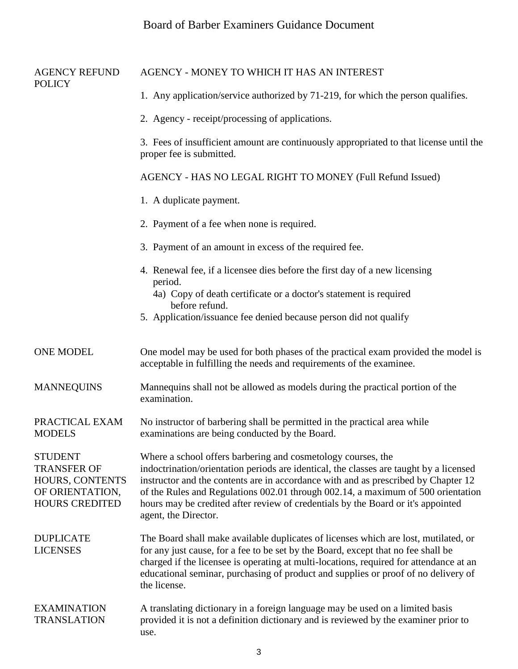## Board of Barber Examiners Guidance Document

| <b>AGENCY REFUND</b><br><b>POLICY</b>                                                               | AGENCY - MONEY TO WHICH IT HAS AN INTEREST                                                                                                                                                                                                                                                                                                                                                                                                   |
|-----------------------------------------------------------------------------------------------------|----------------------------------------------------------------------------------------------------------------------------------------------------------------------------------------------------------------------------------------------------------------------------------------------------------------------------------------------------------------------------------------------------------------------------------------------|
|                                                                                                     | 1. Any application/service authorized by 71-219, for which the person qualifies.                                                                                                                                                                                                                                                                                                                                                             |
|                                                                                                     | 2. Agency - receipt/processing of applications.                                                                                                                                                                                                                                                                                                                                                                                              |
|                                                                                                     | 3. Fees of insufficient amount are continuously appropriated to that license until the<br>proper fee is submitted.                                                                                                                                                                                                                                                                                                                           |
|                                                                                                     | AGENCY - HAS NO LEGAL RIGHT TO MONEY (Full Refund Issued)                                                                                                                                                                                                                                                                                                                                                                                    |
|                                                                                                     | 1. A duplicate payment.                                                                                                                                                                                                                                                                                                                                                                                                                      |
|                                                                                                     | 2. Payment of a fee when none is required.                                                                                                                                                                                                                                                                                                                                                                                                   |
|                                                                                                     | 3. Payment of an amount in excess of the required fee.                                                                                                                                                                                                                                                                                                                                                                                       |
|                                                                                                     | 4. Renewal fee, if a licensee dies before the first day of a new licensing<br>period.<br>4a) Copy of death certificate or a doctor's statement is required                                                                                                                                                                                                                                                                                   |
|                                                                                                     | before refund.<br>5. Application/issuance fee denied because person did not qualify                                                                                                                                                                                                                                                                                                                                                          |
| <b>ONE MODEL</b>                                                                                    | One model may be used for both phases of the practical exam provided the model is<br>acceptable in fulfilling the needs and requirements of the examinee.                                                                                                                                                                                                                                                                                    |
| <b>MANNEQUINS</b>                                                                                   | Mannequins shall not be allowed as models during the practical portion of the<br>examination.                                                                                                                                                                                                                                                                                                                                                |
| PRACTICAL EXAM<br><b>MODELS</b>                                                                     | No instructor of barbering shall be permitted in the practical area while<br>examinations are being conducted by the Board.                                                                                                                                                                                                                                                                                                                  |
| <b>STUDENT</b><br><b>TRANSFER OF</b><br>HOURS, CONTENTS<br>OF ORIENTATION,<br><b>HOURS CREDITED</b> | Where a school offers barbering and cosmetology courses, the<br>indoctrination/orientation periods are identical, the classes are taught by a licensed<br>instructor and the contents are in accordance with and as prescribed by Chapter 12<br>of the Rules and Regulations 002.01 through 002.14, a maximum of 500 orientation<br>hours may be credited after review of credentials by the Board or it's appointed<br>agent, the Director. |
| <b>DUPLICATE</b><br><b>LICENSES</b>                                                                 | The Board shall make available duplicates of licenses which are lost, mutilated, or<br>for any just cause, for a fee to be set by the Board, except that no fee shall be<br>charged if the licensee is operating at multi-locations, required for attendance at an<br>educational seminar, purchasing of product and supplies or proof of no delivery of<br>the license.                                                                     |
| <b>EXAMINATION</b><br><b>TRANSLATION</b>                                                            | A translating dictionary in a foreign language may be used on a limited basis<br>provided it is not a definition dictionary and is reviewed by the examiner prior to<br>use.                                                                                                                                                                                                                                                                 |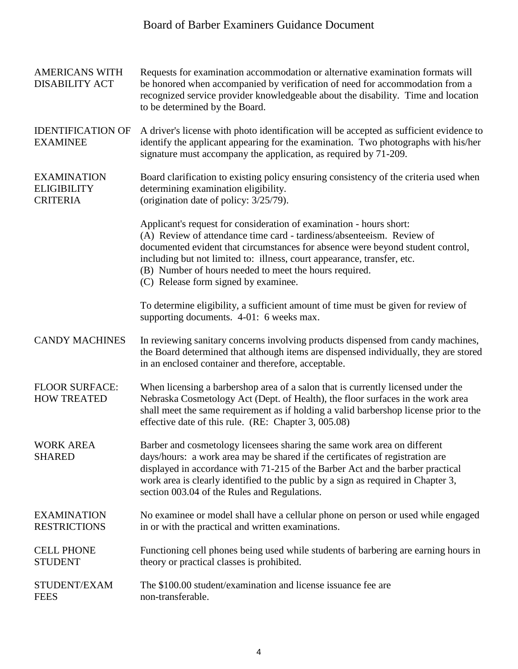## Board of Barber Examiners Guidance Document

| <b>AMERICANS WITH</b><br><b>DISABILITY ACT</b>              | Requests for examination accommodation or alternative examination formats will<br>be honored when accompanied by verification of need for accommodation from a<br>recognized service provider knowledgeable about the disability. Time and location<br>to be determined by the Board.                                                                                                                       |
|-------------------------------------------------------------|-------------------------------------------------------------------------------------------------------------------------------------------------------------------------------------------------------------------------------------------------------------------------------------------------------------------------------------------------------------------------------------------------------------|
| <b>IDENTIFICATION OF</b><br><b>EXAMINEE</b>                 | A driver's license with photo identification will be accepted as sufficient evidence to<br>identify the applicant appearing for the examination. Two photographs with his/her<br>signature must accompany the application, as required by 71-209.                                                                                                                                                           |
| <b>EXAMINATION</b><br><b>ELIGIBILITY</b><br><b>CRITERIA</b> | Board clarification to existing policy ensuring consistency of the criteria used when<br>determining examination eligibility.<br>(origination date of policy: 3/25/79).                                                                                                                                                                                                                                     |
|                                                             | Applicant's request for consideration of examination - hours short:<br>(A) Review of attendance time card - tardiness/absenteeism. Review of<br>documented evident that circumstances for absence were beyond student control,<br>including but not limited to: illness, court appearance, transfer, etc.<br>(B) Number of hours needed to meet the hours required.<br>(C) Release form signed by examinee. |
|                                                             | To determine eligibility, a sufficient amount of time must be given for review of<br>supporting documents. 4-01: 6 weeks max.                                                                                                                                                                                                                                                                               |
| <b>CANDY MACHINES</b>                                       | In reviewing sanitary concerns involving products dispensed from candy machines,<br>the Board determined that although items are dispensed individually, they are stored<br>in an enclosed container and therefore, acceptable.                                                                                                                                                                             |
| <b>FLOOR SURFACE:</b><br><b>HOW TREATED</b>                 | When licensing a barbershop area of a salon that is currently licensed under the<br>Nebraska Cosmetology Act (Dept. of Health), the floor surfaces in the work area<br>shall meet the same requirement as if holding a valid barbershop license prior to the<br>effective date of this rule. (RE: Chapter 3, 005.08)                                                                                        |
| <b>WORK AREA</b><br><b>SHARED</b>                           | Barber and cosmetology licensees sharing the same work area on different<br>days/hours: a work area may be shared if the certificates of registration are<br>displayed in accordance with 71-215 of the Barber Act and the barber practical<br>work area is clearly identified to the public by a sign as required in Chapter 3,<br>section 003.04 of the Rules and Regulations.                            |
| <b>EXAMINATION</b><br><b>RESTRICTIONS</b>                   | No examinee or model shall have a cellular phone on person or used while engaged<br>in or with the practical and written examinations.                                                                                                                                                                                                                                                                      |
| <b>CELL PHONE</b><br><b>STUDENT</b>                         | Functioning cell phones being used while students of barbering are earning hours in<br>theory or practical classes is prohibited.                                                                                                                                                                                                                                                                           |
| STUDENT/EXAM<br><b>FEES</b>                                 | The \$100.00 student/examination and license issuance fee are<br>non-transferable.                                                                                                                                                                                                                                                                                                                          |